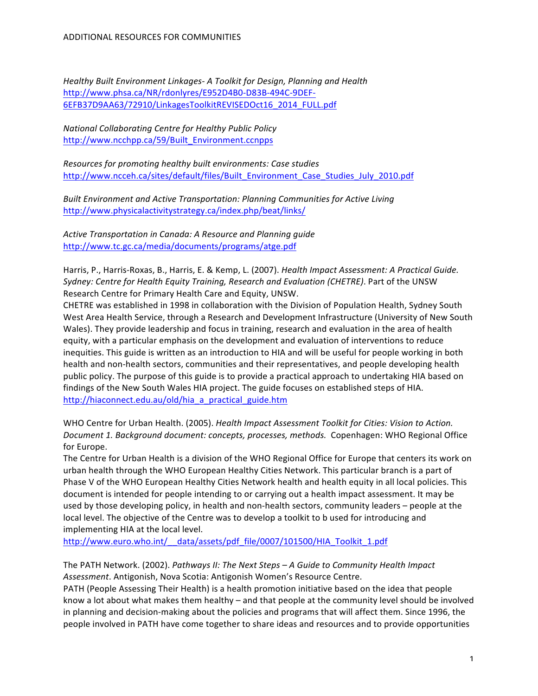*Healthy Built Environment Linkages-A Toolkit for Design, Planning and Health* http://www.phsa.ca/NR/rdonlyres/E952D4B0-D83B-494C-9DEF-6EFB37D9AA63/72910/LinkagesToolkitREVISEDOct16\_2014\_FULL.pdf

*National Collaborating Centre for Healthy Public Policy* http://www.ncchpp.ca/59/Built\_Environment.ccnpps

*Resources for promoting healthy built environments: Case studies* http://www.ncceh.ca/sites/default/files/Built\_Environment\_Case\_Studies\_July\_2010.pdf

**Built Environment and Active Transportation: Planning Communities for Active Living** http://www.physicalactivitystrategy.ca/index.php/beat/links/

Active Transportation in Canada: A Resource and Planning quide http://www.tc.gc.ca/media/documents/programs/atge.pdf

Harris, P., Harris-Roxas, B., Harris, E. & Kemp, L. (2007). *Health Impact Assessment: A Practical Guide.* Sydney: Centre for Health Equity Training, Research and Evaluation (CHETRE). Part of the UNSW Research Centre for Primary Health Care and Equity, UNSW.

CHETRE was established in 1998 in collaboration with the Division of Population Health, Sydney South West Area Health Service, through a Research and Development Infrastructure (University of New South Wales). They provide leadership and focus in training, research and evaluation in the area of health equity, with a particular emphasis on the development and evaluation of interventions to reduce inequities. This guide is written as an introduction to HIA and will be useful for people working in both health and non-health sectors, communities and their representatives, and people developing health public policy. The purpose of this guide is to provide a practical approach to undertaking HIA based on findings of the New South Wales HIA project. The guide focuses on established steps of HIA. http://hiaconnect.edu.au/old/hia\_a\_practical\_guide.htm

WHO Centre for Urban Health. (2005). *Health Impact Assessment Toolkit for Cities: Vision to Action.* Document 1. Background document: concepts, processes, methods. Copenhagen: WHO Regional Office for Europe.

The Centre for Urban Health is a division of the WHO Regional Office for Europe that centers its work on urban health through the WHO European Healthy Cities Network. This particular branch is a part of Phase V of the WHO European Healthy Cities Network health and health equity in all local policies. This document is intended for people intending to or carrying out a health impact assessment. It may be used by those developing policy, in health and non-health sectors, community leaders – people at the local level. The objective of the Centre was to develop a toolkit to b used for introducing and implementing HIA at the local level.

http://www.euro.who.int/\_\_data/assets/pdf\_file/0007/101500/HIA\_Toolkit\_1.pdf

The PATH Network. (2002). Pathways II: The Next Steps - A Guide to Community Health Impact Assessment. Antigonish, Nova Scotia: Antigonish Women's Resource Centre.

PATH (People Assessing Their Health) is a health promotion initiative based on the idea that people know a lot about what makes them healthy – and that people at the community level should be involved in planning and decision-making about the policies and programs that will affect them. Since 1996, the people involved in PATH have come together to share ideas and resources and to provide opportunities